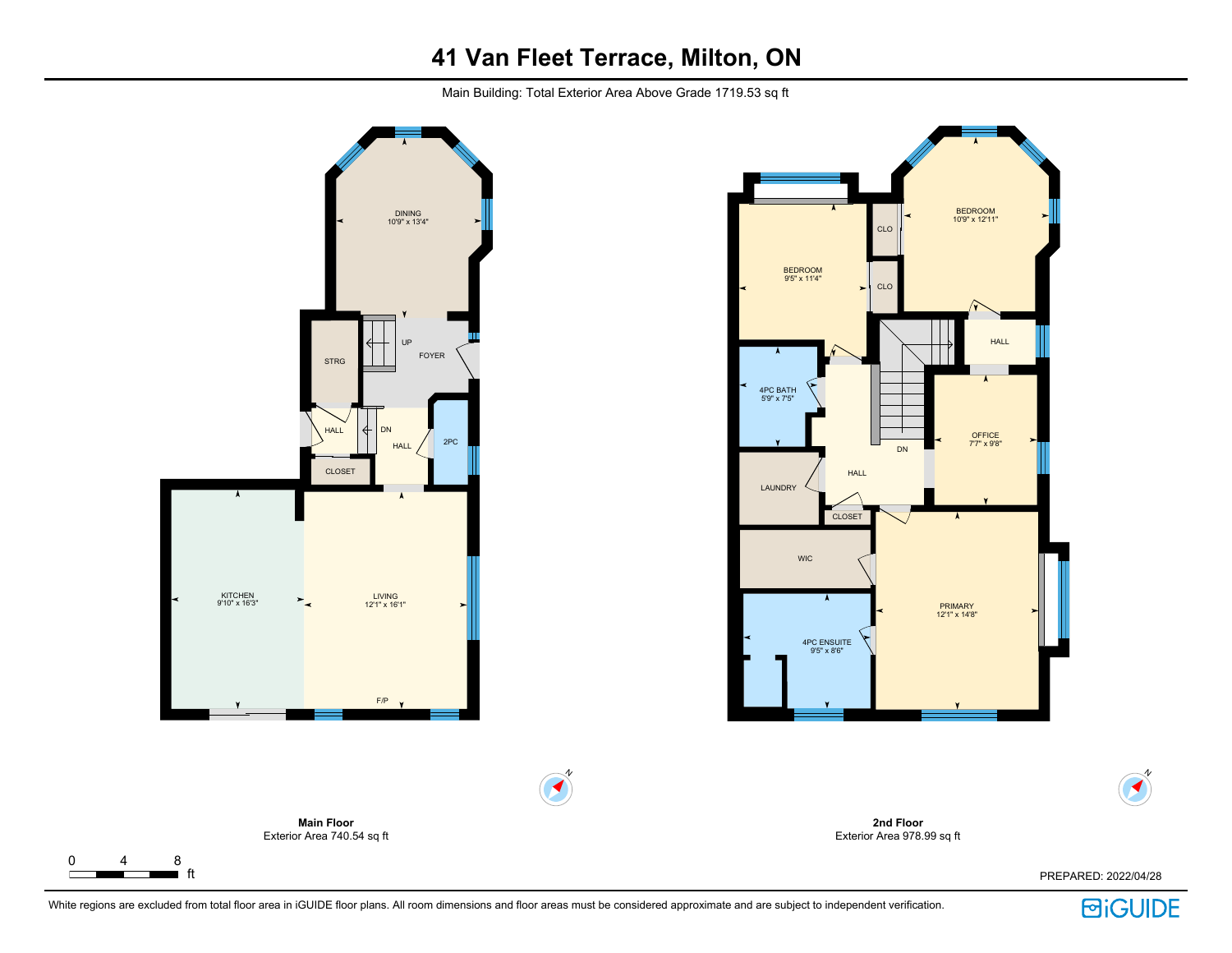# **41 Van Fleet Terrace, Milton, ON**

Main Building: Total Exterior Area Above Grade 1719.53 sq ft





**2nd Floor** Exterior Area 978.99 sq ft

N  $\blacktriangleleft$ 

 $\Gamma$ 

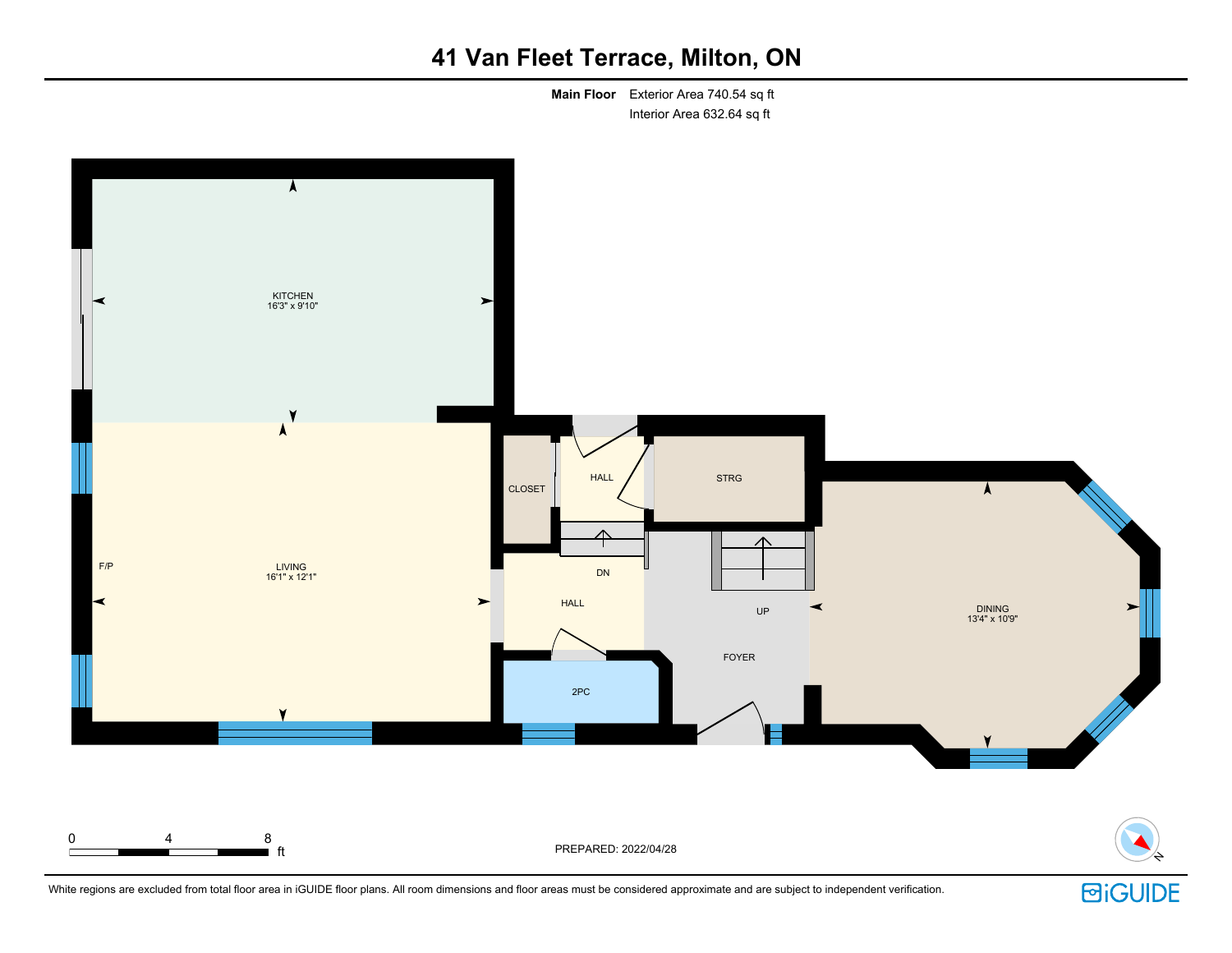# **41 Van Fleet Terrace, Milton, ON**

**Main Floor** Exterior Area 740.54 sq ft Interior Area 632.64 sq ft



White regions are excluded from total floor area in iGUIDE floor plans. All room dimensions and floor areas must be considered approximate and are subject to independent verification.

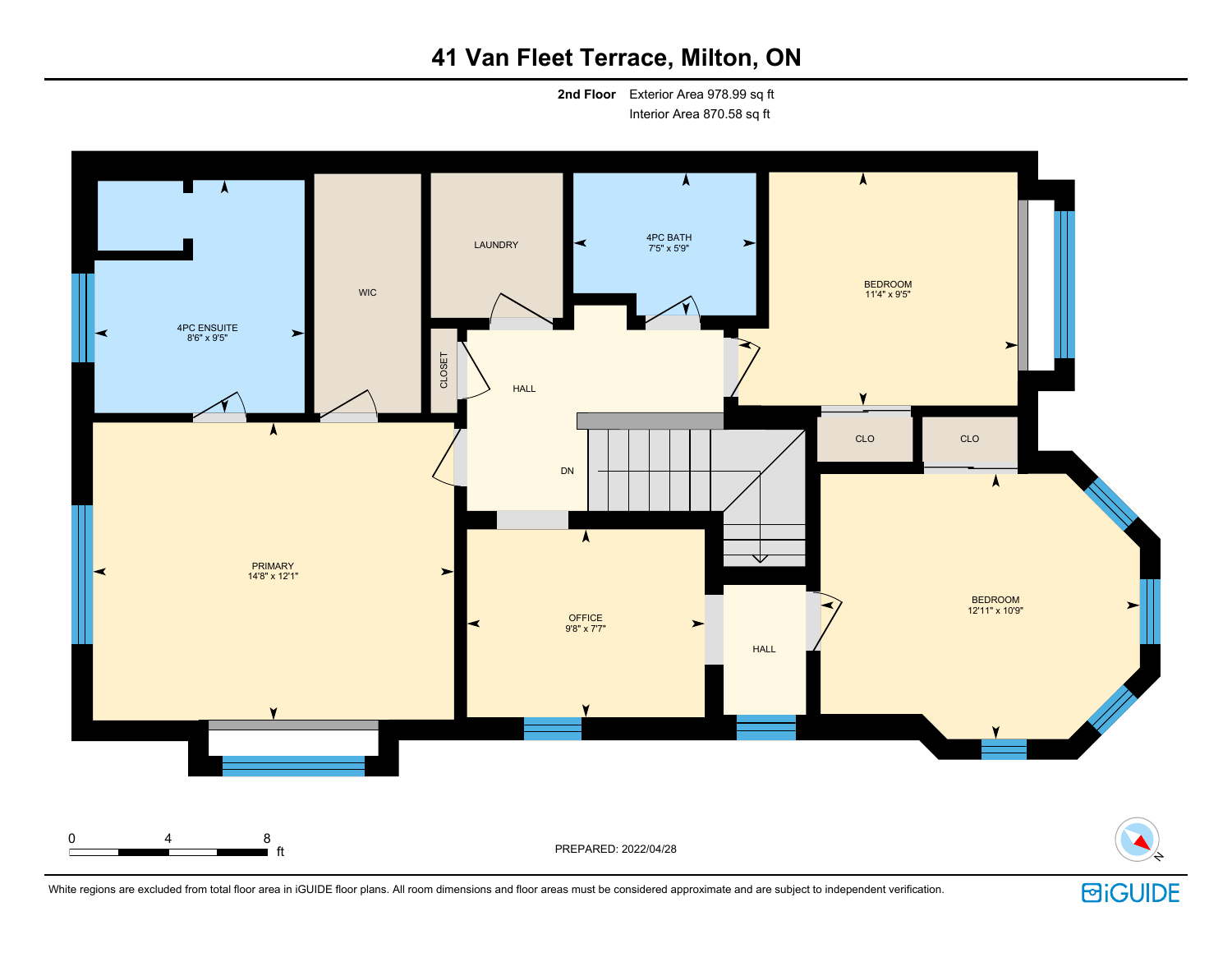# **41 Van Fleet Terrace, Milton, ON**

**2nd Floor** Exterior Area 978.99 sq ft Interior Area 870.58 sq ft



White regions are excluded from total floor area in iGUIDE floor plans. All room dimensions and floor areas must be considered approximate and are subject to independent verification.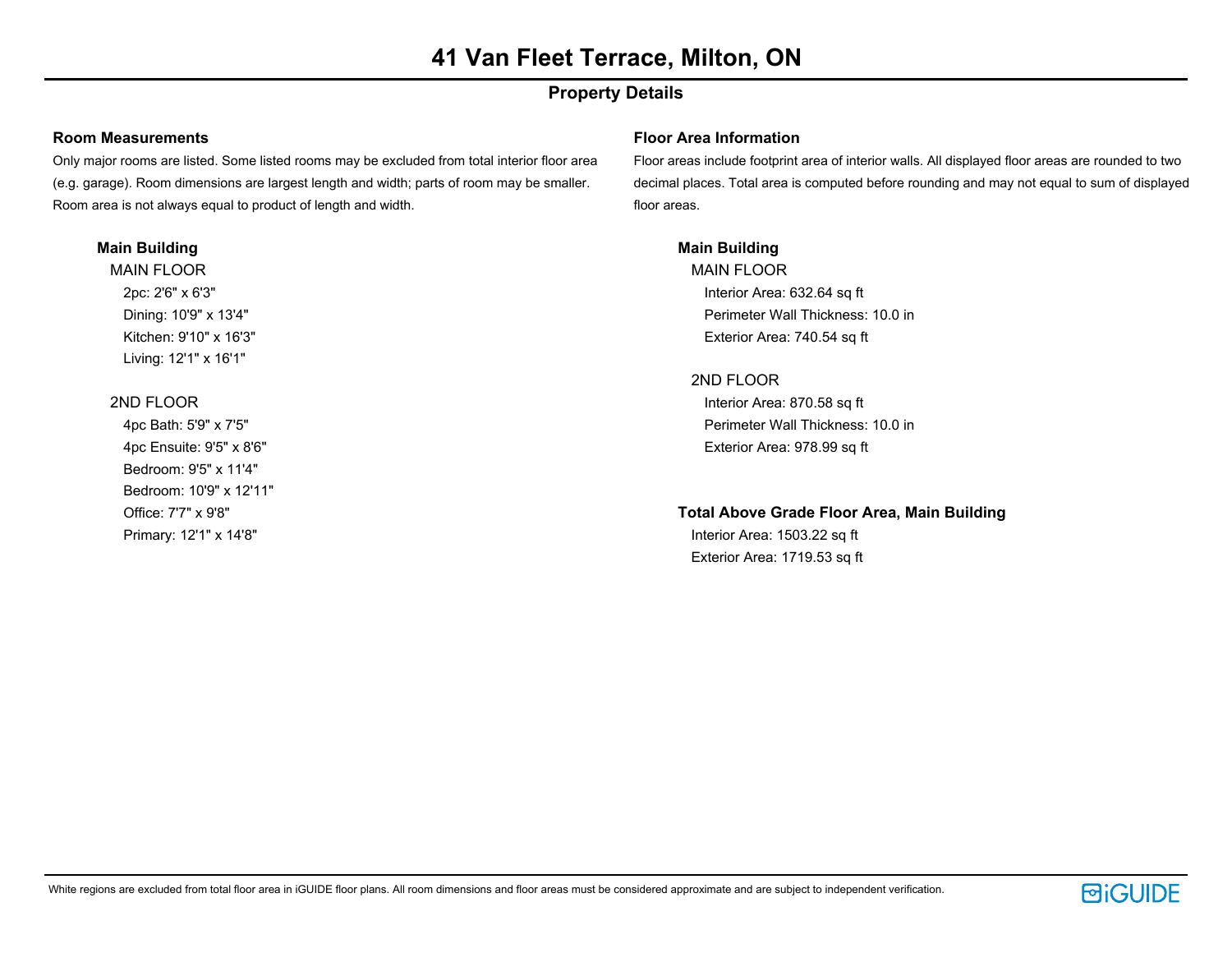# **Property Details**

### **Room Measurements**

Only major rooms are listed. Some listed rooms may be excluded from total interior floor area (e.g. garage). Room dimensions are largest length and width; parts of room may be smaller. Room area is not always equal to product of length and width.

#### **Main Building**

MAIN FLOOR 2pc: 2'6" x 6'3" Dining: 10'9" x 13'4" Kitchen: 9'10" x 16'3" Living: 12'1" x 16'1"

## 2ND FLOOR

4pc Bath: 5'9" x 7'5" 4pc Ensuite: 9'5" x 8'6" Bedroom: 9'5" x 11'4" Bedroom: 10'9" x 12'11" Office: 7'7" x 9'8" Primary: 12'1" x 14'8"

### **Floor Area Information**

Floor areas include footprint area of interior walls. All displayed floor areas are rounded to two decimal places. Total area is computed before rounding and may not equal to sum of displayed floor areas.

# **Main Building**

MAIN FLOOR Interior Area: 632.64 sq ft Perimeter Wall Thickness: 10.0 in Exterior Area: 740.54 sq ft

## 2ND FLOOR

Interior Area: 870.58 sq ft Perimeter Wall Thickness: 10.0 in Exterior Area: 978.99 sq ft

## **Total Above Grade Floor Area, Main Building**

Interior Area: 1503.22 sq ft Exterior Area: 1719.53 sq ft